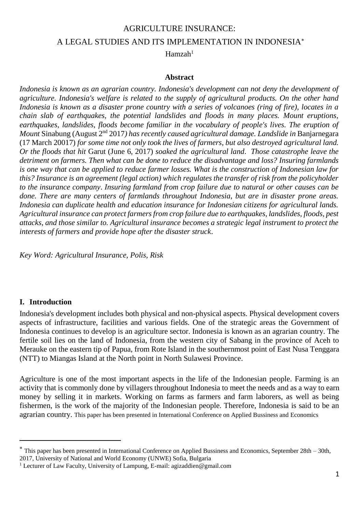# AGRICULTURE INSURANCE: A LEGAL STUDIES AND ITS IMPLEMENTATION IN INDONESIA

 $Hamzah<sup>1</sup>$ 

#### **Abstract**

*Indonesia is known as an agrarian country. Indonesia's development can not deny the development of agriculture. Indonesia's welfare is related to the supply of agricultural products. On the other hand Indonesia is known as a disaster prone country with a series of volcanoes (ring of fire), locates in a chain slab of earthquakes, the potential landslides and floods in many places. Mount eruptions, earthquakes, landslides, floods become familiar in the vocabulary of people's lives. The eruption of Mount* Sinabung (August 2nd 2017*) has recently caused agricultural damage. Landslide in* Banjarnegara (17 March 20017) *for some time not only took the lives of farmers, but also destroyed agricultural land. Or the floods that hit* Garut (June 6, 2017) *soaked the agricultural land*. *Those catastrophe leave the detriment on farmers. Then what can be done to reduce the disadvantage and loss? Insuring farmlands is one way that can be applied to reduce farmer losses. What is the construction of Indonesian law for this? Insurance is an agreement (legal action) which regulates the transfer of risk from the policyholder to the insurance company*. *Insuring farmland from crop failure due to natural or other causes can be done. There are many centers of farmlands throughout Indonesia, but are in disaster prone areas. Indonesia can duplicate health and education insurance for Indonesian citizens for agricultural lands. Agricultural insurance can protect farmers from crop failure due to earthquakes, landslides, floods, pest attacks, and those similar to. Agricultural insurance becomes a strategic legal instrument to protect the interests of farmers and provide hope after the disaster struck*.

*Key Word: Agricultural Insurance, Polis, Risk*

#### **I. Introduction**

 $\overline{a}$ 

Indonesia's development includes both physical and non-physical aspects. Physical development covers aspects of infrastructure, facilities and various fields. One of the strategic areas the Government of Indonesia continues to develop is an agriculture sector. Indonesia is known as an agrarian country. The fertile soil lies on the land of Indonesia, from the western city of Sabang in the province of Aceh to Merauke on the eastern tip of Papua, from Rote Island in the southernmost point of East Nusa Tenggara (NTT) to Miangas Island at the North point in North Sulawesi Province.

Agriculture is one of the most important aspects in the life of the Indonesian people. Farming is an activity that is commonly done by villagers throughout Indonesia to meet the needs and as a way to earn money by selling it in markets. Working on farms as farmers and farm laborers, as well as being fishermen, is the work of the majority of the Indonesian people. Therefore, Indonesia is said to be an agrarian country. This paper has been presented in International Conference on Applied Bussiness and Economics

2017, University of National and World Economy (UNWE) Sofia, Bulgaria

This paper has been presented in International Conference on Applied Bussiness and Economics, September 28th – 30th,

<sup>&</sup>lt;sup>1</sup> Lecturer of Law Faculty, University of Lampung, E-mail: agizaddien@gmail.com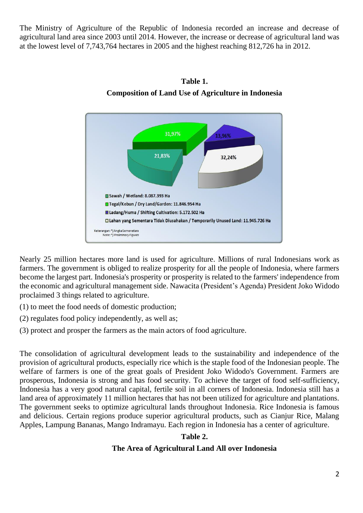The Ministry of Agriculture of the Republic of Indonesia recorded an increase and decrease of agricultural land area since 2003 until 2014. However, the increase or decrease of agricultural land was at the lowest level of 7,743,764 hectares in 2005 and the highest reaching 812,726 ha in 2012.



**Table 1. Composition of Land Use of Agriculture in Indonesia**

Nearly 25 million hectares more land is used for agriculture. Millions of rural Indonesians work as farmers. The government is obliged to realize prosperity for all the people of Indonesia, where farmers become the largest part. Indonesia's prosperity or prosperity is related to the farmers' independence from the economic and agricultural management side. Nawacita (President's Agenda) President Joko Widodo proclaimed 3 things related to agriculture.

- (1) to meet the food needs of domestic production;
- (2) regulates food policy independently, as well as;
- (3) protect and prosper the farmers as the main actors of food agriculture.

The consolidation of agricultural development leads to the sustainability and independence of the provision of agricultural products, especially rice which is the staple food of the Indonesian people. The welfare of farmers is one of the great goals of President Joko Widodo's Government. Farmers are prosperous, Indonesia is strong and has food security. To achieve the target of food self-sufficiency, Indonesia has a very good natural capital, fertile soil in all corners of Indonesia. Indonesia still has a land area of approximately 11 million hectares that has not been utilized for agriculture and plantations. The government seeks to optimize agricultural lands throughout Indonesia. Rice Indonesia is famous and delicious. Certain regions produce superior agricultural products, such as Cianjur Rice, Malang Apples, Lampung Bananas, Mango Indramayu. Each region in Indonesia has a center of agriculture.

#### **Table 2.**

### **The Area of Agricultural Land All over Indonesia**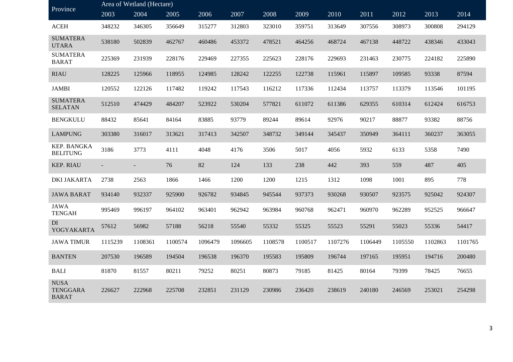| Province                                       | Area of Wetland (Hectare) |         |         |         |         |         |         |         |         |         |         |         |
|------------------------------------------------|---------------------------|---------|---------|---------|---------|---------|---------|---------|---------|---------|---------|---------|
|                                                | 2003                      | 2004    | 2005    | 2006    | 2007    | 2008    | 2009    | 2010    | 2011    | 2012    | 2013    | 2014    |
| <b>ACEH</b>                                    | 348232                    | 346305  | 356649  | 315277  | 312803  | 323010  | 359751  | 313649  | 307556  | 308973  | 300808  | 294129  |
| <b>SUMATERA</b><br><b>UTARA</b>                | 538180                    | 502839  | 462767  | 460486  | 453372  | 478521  | 464256  | 468724  | 467138  | 448722  | 438346  | 433043  |
| <b>SUMATERA</b><br><b>BARAT</b>                | 225369                    | 231939  | 228176  | 229469  | 227355  | 225623  | 228176  | 229693  | 231463  | 230775  | 224182  | 225890  |
| <b>RIAU</b>                                    | 128225                    | 125966  | 118955  | 124985  | 128242  | 122255  | 122738  | 115961  | 115897  | 109585  | 93338   | 87594   |
| <b>JAMBI</b>                                   | 120552                    | 122126  | 117482  | 119242  | 117543  | 116212  | 117336  | 112434  | 113757  | 113379  | 113546  | 101195  |
| <b>SUMATERA</b><br><b>SELATAN</b>              | 512510                    | 474429  | 484207  | 523922  | 530204  | 577821  | 611072  | 611386  | 629355  | 610314  | 612424  | 616753  |
| <b>BENGKULU</b>                                | 88432                     | 85641   | 84164   | 83885   | 93779   | 89244   | 89614   | 92976   | 90217   | 88877   | 93382   | 88756   |
| <b>LAMPUNG</b>                                 | 303380                    | 316017  | 313621  | 317413  | 342507  | 348732  | 349144  | 345437  | 350949  | 364111  | 360237  | 363055  |
| <b>KEP. BANGKA</b><br><b>BELITUNG</b>          | 3186                      | 3773    | 4111    | 4048    | 4176    | 3506    | 5017    | 4056    | 5932    | 6133    | 5358    | 7490    |
| <b>KEP. RIAU</b>                               |                           |         | 76      | 82      | 124     | 133     | 238     | 442     | 393     | 559     | 487     | 405     |
| <b>DKI JAKARTA</b>                             | 2738                      | 2563    | 1866    | 1466    | 1200    | 1200    | 1215    | 1312    | 1098    | 1001    | 895     | 778     |
| <b>JAWA BARAT</b>                              | 934140                    | 932337  | 925900  | 926782  | 934845  | 945544  | 937373  | 930268  | 930507  | 923575  | 925042  | 924307  |
| <b>JAWA</b><br><b>TENGAH</b>                   | 995469                    | 996197  | 964102  | 963401  | 962942  | 963984  | 960768  | 962471  | 960970  | 962289  | 952525  | 966647  |
| DI<br>YOGYAKARTA                               | 57612                     | 56982   | 57188   | 56218   | 55540   | 55332   | 55325   | 55523   | 55291   | 55023   | 55336   | 54417   |
| <b>JAWA TIMUR</b>                              | 1115239                   | 1108361 | 1100574 | 1096479 | 1096605 | 1108578 | 1100517 | 1107276 | 1106449 | 1105550 | 1102863 | 1101765 |
| <b>BANTEN</b>                                  | 207530                    | 196589  | 194504  | 196538  | 196370  | 195583  | 195809  | 196744  | 197165  | 195951  | 194716  | 200480  |
| <b>BALI</b>                                    | 81870                     | 81557   | 80211   | 79252   | 80251   | 80873   | 79185   | 81425   | 80164   | 79399   | 78425   | 76655   |
| <b>NUSA</b><br><b>TENGGARA</b><br><b>BARAT</b> | 226627                    | 222968  | 225708  | 232851  | 231129  | 230986  | 236420  | 238619  | 240180  | 246569  | 253021  | 254298  |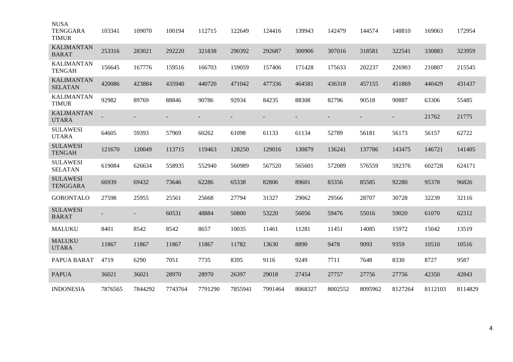| <b>NUSA</b><br><b>TENGGARA</b><br><b>TIMUR</b> | 103341  | 109070  | 100194  | 112715  | 122649  | 124416  | 139943  | 142479  | 144574  | 148810  | 169063  | 172954  |
|------------------------------------------------|---------|---------|---------|---------|---------|---------|---------|---------|---------|---------|---------|---------|
| <b>KALIMANTAN</b><br><b>BARAT</b>              | 253316  | 283021  | 292220  | 321838  | 290392  | 292687  | 300906  | 307016  | 318581  | 322541  | 330883  | 323959  |
| <b>KALIMANTAN</b><br><b>TENGAH</b>             | 156645  | 167776  | 159516  | 166703  | 159059  | 157406  | 171428  | 175633  | 202237  | 226903  | 210807  | 215545  |
| <b>KALIMANTAN</b><br><b>SELATAN</b>            | 420086  | 423884  | 435940  | 440720  | 471042  | 477336  | 464581  | 436318  | 457155  | 451869  | 440429  | 431437  |
| <b>KALIMANTAN</b><br><b>TIMUR</b>              | 92982   | 89769   | 88846   | 90786   | 92934   | 84235   | 88308   | 82796   | 90518   | 90887   | 63306   | 55485   |
| <b>KALIMANTAN</b><br><b>UTARA</b>              |         |         |         |         |         |         |         |         |         |         | 21762   | 21775   |
| <b>SULAWESI</b><br><b>UTARA</b>                | 64605   | 59393   | 57969   | 60262   | 61098   | 61133   | 61134   | 52789   | 56181   | 56173   | 56157   | 62722   |
| <b>SULAWESI</b><br><b>TENGAH</b>               | 121670  | 120049  | 113715  | 119463  | 128250  | 129016  | 130879  | 136241  | 137786  | 143475  | 146721  | 141405  |
| <b>SULAWESI</b><br><b>SELATAN</b>              | 619084  | 626634  | 558935  | 552940  | 560989  | 567520  | 565601  | 572089  | 576559  | 592376  | 602728  | 624171  |
| <b>SULAWESI</b><br><b>TENGGARA</b>             | 66939   | 69432   | 73646   | 62286   | 65338   | 82806   | 89601   | 83356   | 85585   | 92280   | 95378   | 96826   |
| <b>GORONTALO</b>                               | 27598   | 25955   | 25561   | 25668   | 27794   | 31327   | 29062   | 29566   | 28707   | 30728   | 32239   | 32116   |
| <b>SULAWESI</b><br><b>BARAT</b>                |         |         | 60531   | 48884   | 50800   | 53220   | 56056   | 59476   | 55016   | 59020   | 61070   | 62312   |
| <b>MALUKU</b>                                  | 8401    | 8542    | 8542    | 8657    | 10035   | 11461   | 11281   | 11451   | 14085   | 15972   | 15042   | 13519   |
| <b>MALUKU</b><br><b>UTARA</b>                  | 11867   | 11867   | 11867   | 11867   | 11782   | 13630   | 8890    | 9478    | 9093    | 9359    | 10510   | 10516   |
| PAPUA BARAT                                    | 4719    | 6290    | 7051    | 7735    | 8395    | 9116    | 9249    | 7711    | 7648    | 8330    | 8727    | 9587    |
| <b>PAPUA</b>                                   | 36021   | 36021   | 28970   | 28970   | 26397   | 29018   | 27454   | 27757   | 27756   | 27756   | 42350   | 42843   |
| <b>INDONESIA</b>                               | 7876565 | 7844292 | 7743764 | 7791290 | 7855941 | 7991464 | 8068327 | 8002552 | 8095962 | 8127264 | 8112103 | 8114829 |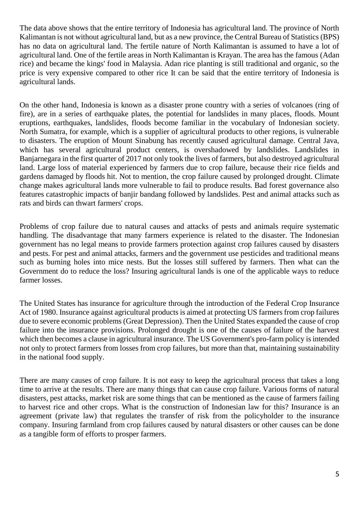The data above shows that the entire territory of Indonesia has agricultural land. The province of North Kalimantan is not without agricultural land, but as a new province, the Central Bureau of Statistics (BPS) has no data on agricultural land. The fertile nature of North Kalimantan is assumed to have a lot of agricultural land. One of the fertile areas in North Kalimantan is Krayan. The area has the famous (Adan rice) and became the kings' food in Malaysia. Adan rice planting is still traditional and organic, so the price is very expensive compared to other rice It can be said that the entire territory of Indonesia is agricultural lands.

On the other hand, Indonesia is known as a disaster prone country with a series of volcanoes (ring of fire), are in a series of earthquake plates, the potential for landslides in many places, floods. Mount eruptions, earthquakes, landslides, floods become familiar in the vocabulary of Indonesian society. North Sumatra, for example, which is a supplier of agricultural products to other regions, is vulnerable to disasters. The eruption of Mount Sinabung has recently caused agricultural damage. Central Java, which has several agricultural product centers, is overshadowed by landslides. Landslides in Banjarnegara in the first quarter of 2017 not only took the lives of farmers, but also destroyed agricultural land. Large loss of material experienced by farmers due to crop failure, because their rice fields and gardens damaged by floods hit. Not to mention, the crop failure caused by prolonged drought. Climate change makes agricultural lands more vulnerable to fail to produce results. Bad forest governance also features catastrophic impacts of banjir bandang followed by landslides. Pest and animal attacks such as rats and birds can thwart farmers' crops.

Problems of crop failure due to natural causes and attacks of pests and animals require systematic handling. The disadvantage that many farmers experience is related to the disaster. The Indonesian government has no legal means to provide farmers protection against crop failures caused by disasters and pests. For pest and animal attacks, farmers and the government use pesticides and traditional means such as burning holes into mice nests. But the losses still suffered by farmers. Then what can the Government do to reduce the loss? Insuring agricultural lands is one of the applicable ways to reduce farmer losses.

The United States has insurance for agriculture through the introduction of the Federal Crop Insurance Act of 1980. Insurance against agricultural products is aimed at protecting US farmers from crop failures due to severe economic problems (Great Depression). Then the United States expanded the cause of crop failure into the insurance provisions. Prolonged drought is one of the causes of failure of the harvest which then becomes a clause in agricultural insurance. The US Government's pro-farm policy is intended not only to protect farmers from losses from crop failures, but more than that, maintaining sustainability in the national food supply.

There are many causes of crop failure. It is not easy to keep the agricultural process that takes a long time to arrive at the results. There are many things that can cause crop failure. Various forms of natural disasters, pest attacks, market risk are some things that can be mentioned as the cause of farmers failing to harvest rice and other crops. What is the construction of Indonesian law for this? Insurance is an agreement (private law) that regulates the transfer of risk from the policyholder to the insurance company. Insuring farmland from crop failures caused by natural disasters or other causes can be done as a tangible form of efforts to prosper farmers.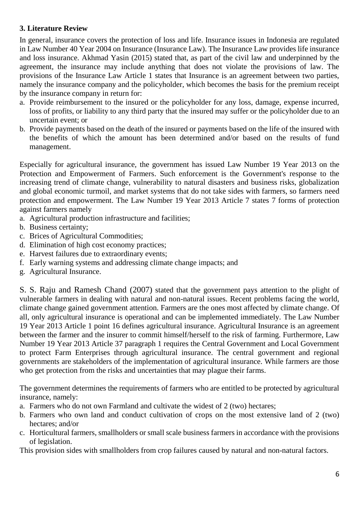# **3. Literature Review**

In general, insurance covers the protection of loss and life. Insurance issues in Indonesia are regulated in Law Number 40 Year 2004 on Insurance (Insurance Law). The Insurance Law provides life insurance and loss insurance. Akhmad Yasin (2015) stated that, as part of the civil law and underpinned by the agreement, the insurance may include anything that does not violate the provisions of law. The provisions of the Insurance Law Article 1 states that Insurance is an agreement between two parties, namely the insurance company and the policyholder, which becomes the basis for the premium receipt by the insurance company in return for:

- a. Provide reimbursement to the insured or the policyholder for any loss, damage, expense incurred, loss of profits, or liability to any third party that the insured may suffer or the policyholder due to an uncertain event; or
- b. Provide payments based on the death of the insured or payments based on the life of the insured with the benefits of which the amount has been determined and/or based on the results of fund management.

Especially for agricultural insurance, the government has issued Law Number 19 Year 2013 on the Protection and Empowerment of Farmers. Such enforcement is the Government's response to the increasing trend of climate change, vulnerability to natural disasters and business risks, globalization and global economic turmoil, and market systems that do not take sides with farmers, so farmers need protection and empowerment. The Law Number 19 Year 2013 Article 7 states 7 forms of protection against farmers namely

- a. Agricultural production infrastructure and facilities;
- b. Business certainty;
- c. Brices of Agricultural Commodities;
- d. Elimination of high cost economy practices;
- e. Harvest failures due to extraordinary events;
- f. Early warning systems and addressing climate change impacts; and
- g. Agricultural Insurance.

S. S. Raju and Ramesh Chand (2007) stated that the government pays attention to the plight of vulnerable farmers in dealing with natural and non-natural issues. Recent problems facing the world, climate change gained government attention. Farmers are the ones most affected by climate change. Of all, only agricultural insurance is operational and can be implemented immediately. The Law Number 19 Year 2013 Article 1 point 16 defines agricultural insurance. Agricultural Insurance is an agreement between the farmer and the insurer to commit himself/herself to the risk of farming. Furthermore, Law Number 19 Year 2013 Article 37 paragraph 1 requires the Central Government and Local Government to protect Farm Enterprises through agricultural insurance. The central government and regional governments are stakeholders of the implementation of agricultural insurance. While farmers are those who get protection from the risks and uncertainties that may plague their farms.

The government determines the requirements of farmers who are entitled to be protected by agricultural insurance, namely:

- a. Farmers who do not own Farmland and cultivate the widest of 2 (two) hectares;
- b. Farmers who own land and conduct cultivation of crops on the most extensive land of 2 (two) hectares; and/or
- c. Horticultural farmers, smallholders or small scale business farmers in accordance with the provisions of legislation.

This provision sides with smallholders from crop failures caused by natural and non-natural factors.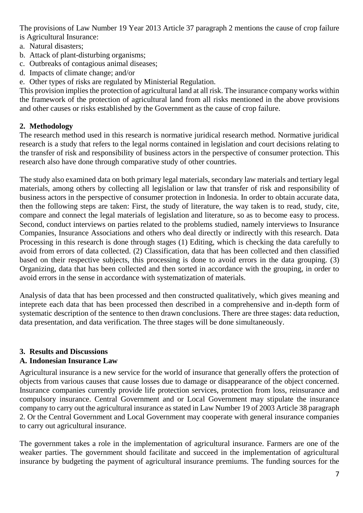The provisions of Law Number 19 Year 2013 Article 37 paragraph 2 mentions the cause of crop failure is Agricultural Insurance:

- a. Natural disasters;
- b. Attack of plant-disturbing organisms;
- c. Outbreaks of contagious animal diseases;
- d. Impacts of climate change; and/or
- e. Other types of risks are regulated by Ministerial Regulation.

This provision implies the protection of agricultural land at all risk. The insurance company works within the framework of the protection of agricultural land from all risks mentioned in the above provisions and other causes or risks established by the Government as the cause of crop failure.

## **2. Methodology**

The research method used in this research is normative juridical research method. Normative juridical research is a study that refers to the legal norms contained in legislation and court decisions relating to the transfer of risk and responsibility of business actors in the perspective of consumer protection. This research also have done through comparative study of other countries.

The study also examined data on both primary legal materials, secondary law materials and tertiary legal materials, among others by collecting all legislalion or law that transfer of risk and responsibility of business actors in the perspective of consumer protection in Indonesia. In order to obtain accurate data, then the following steps are taken: First, the study of literature, the way taken is to read, study, cite, compare and connect the legal materials of legislation and literature, so as to become easy to process. Second, conduct interviews on parties related to the problems studied, namely interviews to Insurance Companies, Insurance Associations and others who deal directly or indirectly with this research. Data Processing in this research is done through stages (1) Editing, which is checking the data carefully to avoid from errors of data collected. (2) Classification, data that has been collected and then classified based on their respective subjects, this processing is done to avoid errors in the data grouping. (3) Organizing, data that has been collected and then sorted in accordance with the grouping, in order to avoid errors in the sense in accordance with systematization of materials.

Analysis of data that has been processed and then constructed qualitatively, which gives meaning and inteprete each data that has been processed then described in a comprehensive and in-depth form of systematic description of the sentence to then drawn conclusions. There are three stages: data reduction, data presentation, and data verification. The three stages will be done simultaneously.

# **3. Results and Discussions**

# **A. Indonesian Insurance Law**

Agricultural insurance is a new service for the world of insurance that generally offers the protection of objects from various causes that cause losses due to damage or disappearance of the object concerned. Insurance companies currently provide life protection services, protection from loss, reinsurance and compulsory insurance. Central Government and or Local Government may stipulate the insurance company to carry out the agricultural insurance as stated in Law Number 19 of 2003 Article 38 paragraph 2. Or the Central Government and Local Government may cooperate with general insurance companies to carry out agricultural insurance.

The government takes a role in the implementation of agricultural insurance. Farmers are one of the weaker parties. The government should facilitate and succeed in the implementation of agricultural insurance by budgeting the payment of agricultural insurance premiums. The funding sources for the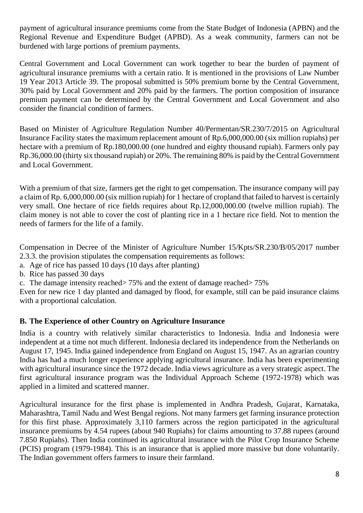payment of agricultural insurance premiums come from the State Budget of Indonesia (APBN) and the Regional Revenue and Expenditure Budget (APBD). As a weak community, farmers can not be burdened with large portions of premium payments.

Central Government and Local Government can work together to bear the burden of payment of agricultural insurance premiums with a certain ratio. It is mentioned in the provisions of Law Number 19 Year 2013 Article 39. The proposal submitted is 50% premium borne by the Central Government, 30% paid by Local Government and 20% paid by the farmers. The portion composition of insurance premium payment can be determined by the Central Government and Local Government and also consider the financial condition of farmers.

Based on Minister of Agriculture Regulation Number 40/Permentan/SR.230/7/2015 on Agricultural Insurance Facility states the maximum replacement amount of Rp.6,000,000.00 (six million rupiahs) per hectare with a premium of Rp.180,000.00 (one hundred and eighty thousand rupiah). Farmers only pay Rp.36,000.00 (thirty six thousand rupiah) or 20%. The remaining 80% is paid by the Central Government and Local Government.

With a premium of that size, farmers get the right to get compensation. The insurance company will pay a claim of Rp. 6,000,000.00 (six million rupiah) for 1 hectare of cropland that failed to harvest is certainly very small. One hectare of rice fields requires about Rp.12,000,000.00 (twelve million rupiah). The claim money is not able to cover the cost of planting rice in a 1 hectare rice field. Not to mention the needs of farmers for the life of a family.

Compensation in Decree of the Minister of Agriculture Number 15/Kpts/SR.230/B/05/2017 number 2.3.3. the provision stipulates the compensation requirements as follows:

- a. Age of rice has passed 10 days (10 days after planting)
- b. Rice has passed 30 days
- c. The damage intensity reached> 75% and the extent of damage reached> 75%

Even for new rice 1 day planted and damaged by flood, for example, still can be paid insurance claims with a proportional calculation.

### **B. The Experience of other Country on Agriculture Insurance**

India is a country with relatively similar characteristics to Indonesia. India and Indonesia were independent at a time not much different. Indonesia declared its independence from the Netherlands on August 17, 1945. India gained independence from England on August 15, 1947. As an agrarian country India has had a much longer experience applying agricultural insurance. India has been experimenting with agricultural insurance since the 1972 decade. India views agriculture as a very strategic aspect. The first agricultural insurance program was the Individual Approach Scheme (1972-1978) which was applied in a limited and scattered manner.

Agricultural insurance for the first phase is implemented in Andhra Pradesh, Gujarat, Karnataka, Maharashtra, Tamil Nadu and West Bengal regions. Not many farmers get farming insurance protection for this first phase. Approximately 3,110 farmers across the region participated in the agricultural insurance premiums by 4.54 rupees (about 940 Rupiahs) for claims amounting to 37.88 rupees (around 7.850 Rupiahs). Then India continued its agricultural insurance with the Pilot Crop Insurance Scheme (PCIS) program (1979-1984). This is an insurance that is applied more massive but done voluntarily. The Indian government offers farmers to insure their farmland.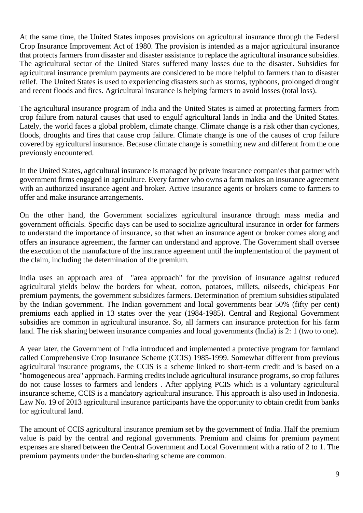At the same time, the United States imposes provisions on agricultural insurance through the Federal Crop Insurance Improvement Act of 1980. The provision is intended as a major agricultural insurance that protects farmers from disaster and disaster assistance to replace the agricultural insurance subsidies. The agricultural sector of the United States suffered many losses due to the disaster. Subsidies for agricultural insurance premium payments are considered to be more helpful to farmers than to disaster relief. The United States is used to experiencing disasters such as storms, typhoons, prolonged drought and recent floods and fires. Agricultural insurance is helping farmers to avoid losses (total loss).

The agricultural insurance program of India and the United States is aimed at protecting farmers from crop failure from natural causes that used to engulf agricultural lands in India and the United States. Lately, the world faces a global problem, climate change. Climate change is a risk other than cyclones, floods, droughts and fires that cause crop failure. Climate change is one of the causes of crop failure covered by agricultural insurance. Because climate change is something new and different from the one previously encountered.

In the United States, agricultural insurance is managed by private insurance companies that partner with government firms engaged in agriculture. Every farmer who owns a farm makes an insurance agreement with an authorized insurance agent and broker. Active insurance agents or brokers come to farmers to offer and make insurance arrangements.

On the other hand, the Government socializes agricultural insurance through mass media and government officials. Specific days can be used to socialize agricultural insurance in order for farmers to understand the importance of insurance, so that when an insurance agent or broker comes along and offers an insurance agreement, the farmer can understand and approve. The Government shall oversee the execution of the manufacture of the insurance agreement until the implementation of the payment of the claim, including the determination of the premium.

India uses an approach area of "area approach" for the provision of insurance against reduced agricultural yields below the borders for wheat, cotton, potatoes, millets, oilseeds, chickpeas For premium payments, the government subsidizes farmers. Determination of premium subsidies stipulated by the Indian government. The Indian government and local governments bear 50% (fifty per cent) premiums each applied in 13 states over the year (1984-1985). Central and Regional Government subsidies are common in agricultural insurance. So, all farmers can insurance protection for his farm land. The risk sharing between insurance companies and local governments (India) is 2: 1 (two to one).

A year later, the Government of India introduced and implemented a protective program for farmland called Comprehensive Crop Insurance Scheme (CCIS) 1985-1999. Somewhat different from previous agricultural insurance programs, the CCIS is a scheme linked to short-term credit and is based on a "homogeneous area" approach. Farming credits include agricultural insurance programs, so crop failures do not cause losses to farmers and lenders . After applying PCIS which is a voluntary agricultural insurance scheme, CCIS is a mandatory agricultural insurance. This approach is also used in Indonesia. Law No. 19 of 2013 agricultural insurance participants have the opportunity to obtain credit from banks for agricultural land.

The amount of CCIS agricultural insurance premium set by the government of India. Half the premium value is paid by the central and regional governments. Premium and claims for premium payment expenses are shared between the Central Government and Local Government with a ratio of 2 to 1. The premium payments under the burden-sharing scheme are common.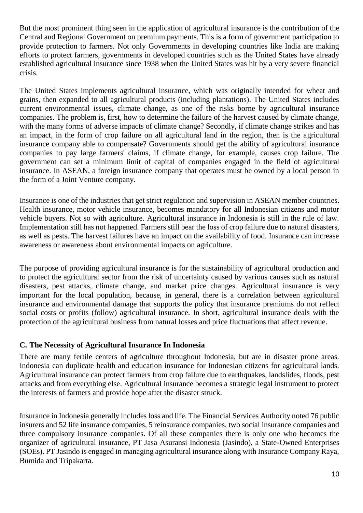But the most prominent thing seen in the application of agricultural insurance is the contribution of the Central and Regional Government on premium payments. This is a form of government participation to provide protection to farmers. Not only Governments in developing countries like India are making efforts to protect farmers, governments in developed countries such as the United States have already established agricultural insurance since 1938 when the United States was hit by a very severe financial crisis.

The United States implements agricultural insurance, which was originally intended for wheat and grains, then expanded to all agricultural products (including plantations). The United States includes current environmental issues, climate change, as one of the risks borne by agricultural insurance companies. The problem is, first, how to determine the failure of the harvest caused by climate change, with the many forms of adverse impacts of climate change? Secondly, if climate change strikes and has an impact, in the form of crop failure on all agricultural land in the region, then is the agricultural insurance company able to compensate? Governments should get the ability of agricultural insurance companies to pay large farmers' claims, if climate change, for example, causes crop failure. The government can set a minimum limit of capital of companies engaged in the field of agricultural insurance. In ASEAN, a foreign insurance company that operates must be owned by a local person in the form of a Joint Venture company.

Insurance is one of the industries that get strict regulation and supervision in ASEAN member countries. Health insurance, motor vehicle insurance, becomes mandatory for all Indonesian citizens and motor vehicle buyers. Not so with agriculture. Agricultural insurance in Indonesia is still in the rule of law. Implementation still has not happened. Farmers still bear the loss of crop failure due to natural disasters, as well as pests. The harvest failures have an impact on the availability of food. Insurance can increase awareness or awareness about environmental impacts on agriculture.

The purpose of providing agricultural insurance is for the sustainability of agricultural production and to protect the agricultural sector from the risk of uncertainty caused by various causes such as natural disasters, pest attacks, climate change, and market price changes. Agricultural insurance is very important for the local population, because, in general, there is a correlation between agricultural insurance and environmental damage that supports the policy that insurance premiums do not reflect social costs or profits (follow) agricultural insurance. In short, agricultural insurance deals with the protection of the agricultural business from natural losses and price fluctuations that affect revenue.

# **C. The Necessity of Agricultural Insurance In Indonesia**

There are many fertile centers of agriculture throughout Indonesia, but are in disaster prone areas. Indonesia can duplicate health and education insurance for Indonesian citizens for agricultural lands. Agricultural insurance can protect farmers from crop failure due to earthquakes, landslides, floods, pest attacks and from everything else. Agricultural insurance becomes a strategic legal instrument to protect the interests of farmers and provide hope after the disaster struck.

Insurance in Indonesia generally includes loss and life. The Financial Services Authority noted 76 public insurers and 52 life insurance companies, 5 reinsurance companies, two social insurance companies and three compulsory insurance companies. Of all these companies there is only one who becomes the organizer of agricultural insurance, PT Jasa Asuransi Indonesia (Jasindo), a State-Owned Enterprises (SOEs). PT Jasindo is engaged in managing agricultural insurance along with Insurance Company Raya, Bumida and Tripakarta.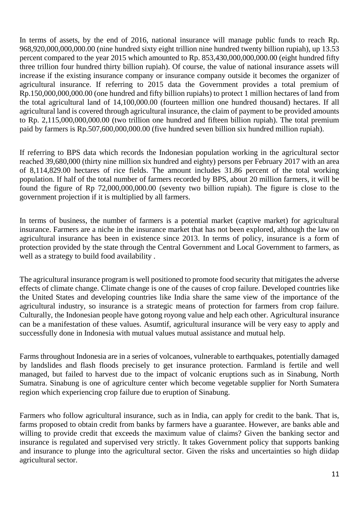In terms of assets, by the end of 2016, national insurance will manage public funds to reach Rp. 968,920,000,000,000.00 (nine hundred sixty eight trillion nine hundred twenty billion rupiah), up 13.53 percent compared to the year 2015 which amounted to Rp. 853,430,000,000,000.00 (eight hundred fifty three trillion four hundred thirty billion rupiah). Of course, the value of national insurance assets will increase if the existing insurance company or insurance company outside it becomes the organizer of agricultural insurance. If referring to 2015 data the Government provides a total premium of Rp.150,000,000,000.00 (one hundred and fifty billion rupiahs) to protect 1 million hectares of land from the total agricultural land of 14,100,000.00 (fourteen million one hundred thousand) hectares. If all agricultural land is covered through agricultural insurance, the claim of payment to be provided amounts to Rp. 2,115,000,000,000.00 (two trillion one hundred and fifteen billion rupiah). The total premium paid by farmers is Rp.507,600,000,000.00 (five hundred seven billion six hundred million rupiah).

If referring to BPS data which records the Indonesian population working in the agricultural sector reached 39,680,000 (thirty nine million six hundred and eighty) persons per February 2017 with an area of 8,114,829.00 hectares of rice fields. The amount includes 31.86 percent of the total working population. If half of the total number of farmers recorded by BPS, about 20 million farmers, it will be found the figure of Rp 72,000,000,000.00 (seventy two billion rupiah). The figure is close to the government projection if it is multiplied by all farmers.

In terms of business, the number of farmers is a potential market (captive market) for agricultural insurance. Farmers are a niche in the insurance market that has not been explored, although the law on agricultural insurance has been in existence since 2013. In terms of policy, insurance is a form of protection provided by the state through the Central Government and Local Government to farmers, as well as a strategy to build food availability .

The agricultural insurance program is well positioned to promote food security that mitigates the adverse effects of climate change. Climate change is one of the causes of crop failure. Developed countries like the United States and developing countries like India share the same view of the importance of the agricultural industry, so insurance is a strategic means of protection for farmers from crop failure. Culturally, the Indonesian people have gotong royong value and help each other. Agricultural insurance can be a manifestation of these values. Asumtif, agricultural insurance will be very easy to apply and successfully done in Indonesia with mutual values mutual assistance and mutual help.

Farms throughout Indonesia are in a series of volcanoes, vulnerable to earthquakes, potentially damaged by landslides and flash floods precisely to get insurance protection. Farmland is fertile and well managed, but failed to harvest due to the impact of volcanic eruptions such as in Sinabung, North Sumatra. Sinabung is one of agriculture center which become vegetable supplier for North Sumatera region which experiencing crop failure due to eruption of Sinabung.

Farmers who follow agricultural insurance, such as in India, can apply for credit to the bank. That is, farms proposed to obtain credit from banks by farmers have a guarantee. However, are banks able and willing to provide credit that exceeds the maximum value of claims? Given the banking sector and insurance is regulated and supervised very strictly. It takes Government policy that supports banking and insurance to plunge into the agricultural sector. Given the risks and uncertainties so high diidap agricultural sector.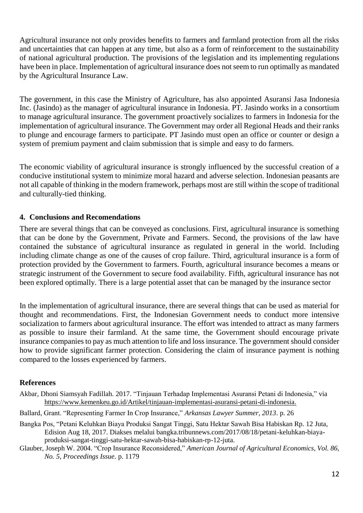Agricultural insurance not only provides benefits to farmers and farmland protection from all the risks and uncertainties that can happen at any time, but also as a form of reinforcement to the sustainability of national agricultural production. The provisions of the legislation and its implementing regulations have been in place. Implementation of agricultural insurance does not seem to run optimally as mandated by the Agricultural Insurance Law.

The government, in this case the Ministry of Agriculture, has also appointed Asuransi Jasa Indonesia Inc. (Jasindo) as the manager of agricultural insurance in Indonesia. PT. Jasindo works in a consortium to manage agricultural insurance. The government proactively socializes to farmers in Indonesia for the implementation of agricultural insurance. The Government may order all Regional Heads and their ranks to plunge and encourage farmers to participate. PT Jasindo must open an office or counter or design a system of premium payment and claim submission that is simple and easy to do farmers.

The economic viability of agricultural insurance is strongly influenced by the successful creation of a conducive institutional system to minimize moral hazard and adverse selection. Indonesian peasants are not all capable of thinking in the modern framework, perhaps most are still within the scope of traditional and culturally-tied thinking.

#### **4. Conclusions and Recomendations**

There are several things that can be conveyed as conclusions. First, agricultural insurance is something that can be done by the Government, Private and Farmers. Second, the provisions of the law have contained the substance of agricultural insurance as regulated in general in the world. Including including climate change as one of the causes of crop failure. Third, agricultural insurance is a form of protection provided by the Government to farmers. Fourth, agricultural insurance becomes a means or strategic instrument of the Government to secure food availability. Fifth, agricultural insurance has not been explored optimally. There is a large potential asset that can be managed by the insurance sector

In the implementation of agricultural insurance, there are several things that can be used as material for thought and recommendations. First, the Indonesian Government needs to conduct more intensive socialization to farmers about agricultural insurance. The effort was intended to attract as many farmers as possible to insure their farmland. At the same time, the Government should encourage private insurance companies to pay as much attention to life and loss insurance. The government should consider how to provide significant farmer protection. Considering the claim of insurance payment is nothing compared to the losses experienced by farmers.

### **References**

- Akbar, Dhoni Siamsyah Fadillah. 2017. "Tinjauan Terhadap Implementasi Asuransi Petani di Indonesia," via [https://www.kemenkeu.go.id/Artikel/tinjauan-implementasi-asuransi-petani-di-indonesia.](https://www.kemenkeu.go.id/Artikel/tinjauan-implementasi-asuransi-petani-di-indonesia)
- Ballard, Grant. "Representing Farmer In Crop Insurance," *Arkansas Lawyer Summer, 2013*. p. 26
- Bangka Pos, "Petani Keluhkan Biaya Produksi Sangat Tinggi, Satu Hektar Sawah Bisa Habiskan Rp. 12 Juta, Edision Aug 18, 2017. Diakses melalui bangka.tribunnews.com/2017/08/18/petani-keluhkan-biayaproduksi-sangat-tinggi-satu-hektar-sawah-bisa-habiskan-rp-12-juta.
- Glauber, Joseph W. 2004. "Crop Insurance Reconsidered," *American Journal of Agricultural Economics, Vol. 86, No. 5, Proceedings Issue.* p. 1179